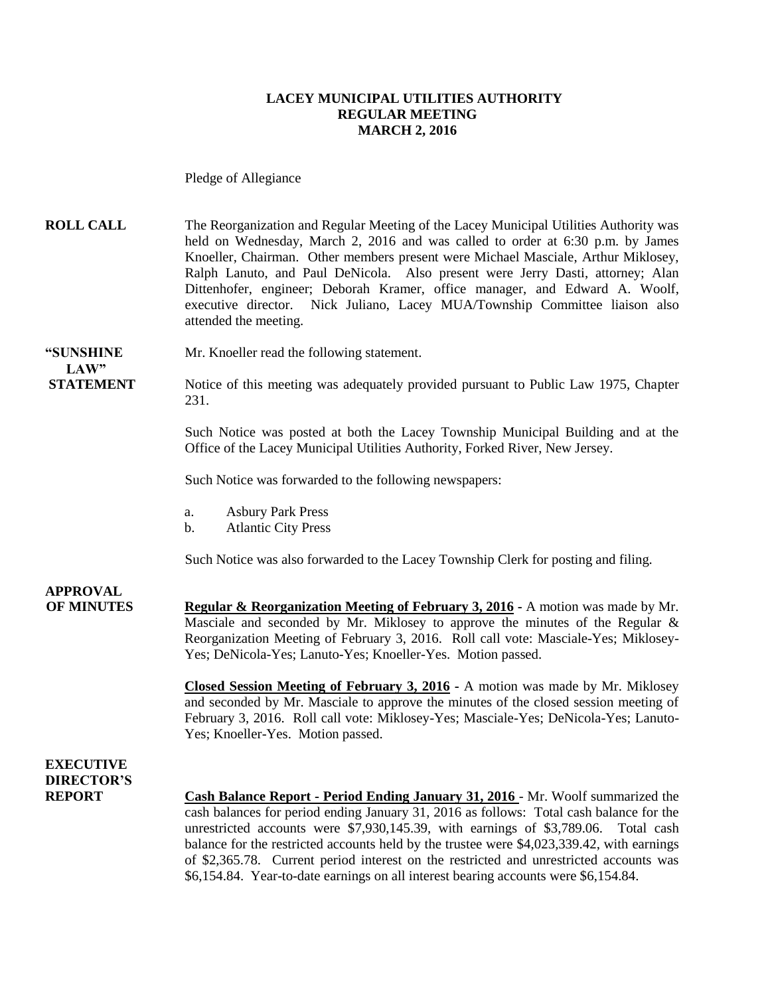#### **LACEY MUNICIPAL UTILITIES AUTHORITY REGULAR MEETING MARCH 2, 2016**

Pledge of Allegiance

**ROLL CALL** The Reorganization and Regular Meeting of the Lacey Municipal Utilities Authority was held on Wednesday, March 2, 2016 and was called to order at 6:30 p.m. by James Knoeller, Chairman. Other members present were Michael Masciale, Arthur Miklosey, Ralph Lanuto, and Paul DeNicola. Also present were Jerry Dasti, attorney; Alan Dittenhofer, engineer; Deborah Kramer, office manager, and Edward A. Woolf, executive director. Nick Juliano, Lacey MUA/Township Committee liaison also attended the meeting.

**"SUNSHINE** Mr. Knoeller read the following statement. **LAW"** 

**STATEMENT** Notice of this meeting was adequately provided pursuant to Public Law 1975, Chapter 231.

> Such Notice was posted at both the Lacey Township Municipal Building and at the Office of the Lacey Municipal Utilities Authority, Forked River, New Jersey.

Such Notice was forwarded to the following newspapers:

- a. Asbury Park Press
- b. Atlantic City Press

Such Notice was also forwarded to the Lacey Township Clerk for posting and filing.

**APPROVAL**

**OF MINUTES Regular & Reorganization Meeting of February 3, 2016 -** A motion was made by Mr. Masciale and seconded by Mr. Miklosey to approve the minutes of the Regular & Reorganization Meeting of February 3, 2016. Roll call vote: Masciale-Yes; Miklosey-Yes; DeNicola-Yes; Lanuto-Yes; Knoeller-Yes. Motion passed.

> **Closed Session Meeting of February 3, 2016 -** A motion was made by Mr. Miklosey and seconded by Mr. Masciale to approve the minutes of the closed session meeting of February 3, 2016. Roll call vote: Miklosey-Yes; Masciale-Yes; DeNicola-Yes; Lanuto-Yes; Knoeller-Yes. Motion passed.

### **EXECUTIVE DIRECTOR'S**

**REPORT Cash Balance Report - Period Ending January 31, 2016** - Mr. Woolf summarized the cash balances for period ending January 31, 2016 as follows: Total cash balance for the unrestricted accounts were \$7,930,145.39, with earnings of \$3,789.06. Total cash balance for the restricted accounts held by the trustee were \$4,023,339.42, with earnings of \$2,365.78. Current period interest on the restricted and unrestricted accounts was \$6,154.84. Year-to-date earnings on all interest bearing accounts were \$6,154.84.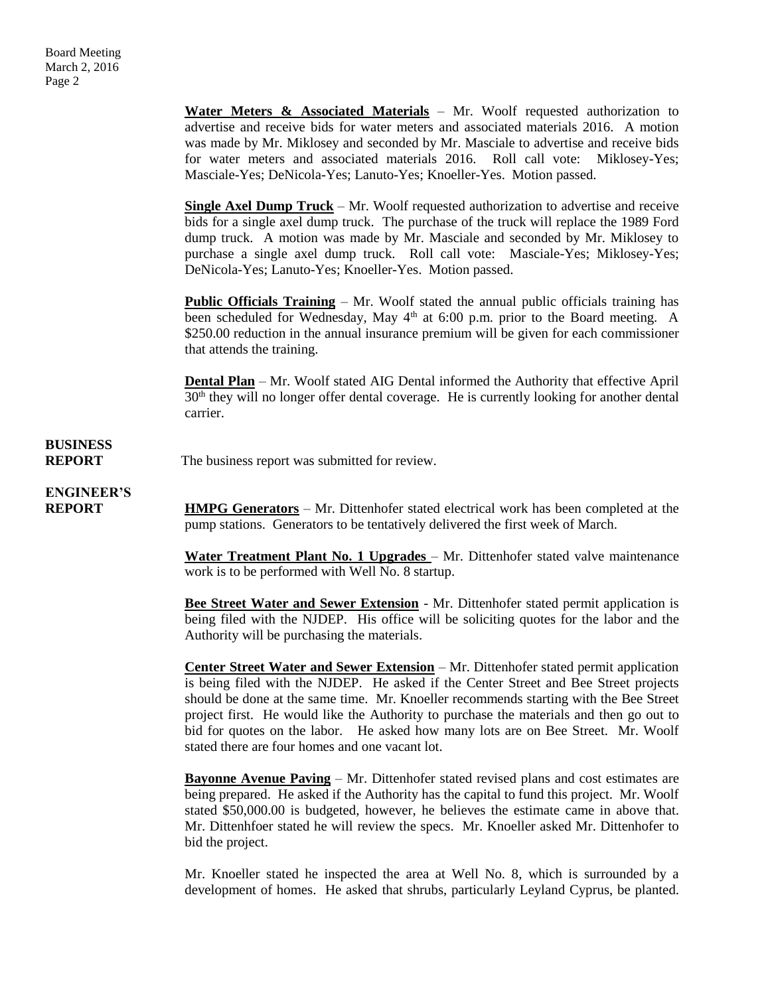**Water Meters & Associated Materials** – Mr. Woolf requested authorization to advertise and receive bids for water meters and associated materials 2016. A motion was made by Mr. Miklosey and seconded by Mr. Masciale to advertise and receive bids for water meters and associated materials 2016. Roll call vote: Miklosey-Yes; Masciale-Yes; DeNicola-Yes; Lanuto-Yes; Knoeller-Yes. Motion passed.

**Single Axel Dump Truck** – Mr. Woolf requested authorization to advertise and receive bids for a single axel dump truck. The purchase of the truck will replace the 1989 Ford dump truck. A motion was made by Mr. Masciale and seconded by Mr. Miklosey to purchase a single axel dump truck. Roll call vote: Masciale-Yes; Miklosey-Yes; DeNicola-Yes; Lanuto-Yes; Knoeller-Yes. Motion passed.

**Public Officials Training** – Mr. Woolf stated the annual public officials training has been scheduled for Wednesday, May  $4<sup>th</sup>$  at 6:00 p.m. prior to the Board meeting. A \$250.00 reduction in the annual insurance premium will be given for each commissioner that attends the training.

**Dental Plan** – Mr. Woolf stated AIG Dental informed the Authority that effective April  $30<sup>th</sup>$  they will no longer offer dental coverage. He is currently looking for another dental carrier.

### **BUSINESS**

**REPORT** The business report was submitted for review.

**ENGINEER'S**

**REPORT HMPG Generators** – Mr. Dittenhofer stated electrical work has been completed at the pump stations. Generators to be tentatively delivered the first week of March.

> Water Treatment Plant No. 1 Upgrades – Mr. Dittenhofer stated valve maintenance work is to be performed with Well No. 8 startup.

> **Bee Street Water and Sewer Extension** - Mr. Dittenhofer stated permit application is being filed with the NJDEP. His office will be soliciting quotes for the labor and the Authority will be purchasing the materials.

> **Center Street Water and Sewer Extension** – Mr. Dittenhofer stated permit application is being filed with the NJDEP. He asked if the Center Street and Bee Street projects should be done at the same time. Mr. Knoeller recommends starting with the Bee Street project first. He would like the Authority to purchase the materials and then go out to bid for quotes on the labor. He asked how many lots are on Bee Street. Mr. Woolf stated there are four homes and one vacant lot.

> **Bayonne Avenue Paving** – Mr. Dittenhofer stated revised plans and cost estimates are being prepared. He asked if the Authority has the capital to fund this project. Mr. Woolf stated \$50,000.00 is budgeted, however, he believes the estimate came in above that. Mr. Dittenhfoer stated he will review the specs. Mr. Knoeller asked Mr. Dittenhofer to bid the project.

> Mr. Knoeller stated he inspected the area at Well No. 8, which is surrounded by a development of homes. He asked that shrubs, particularly Leyland Cyprus, be planted.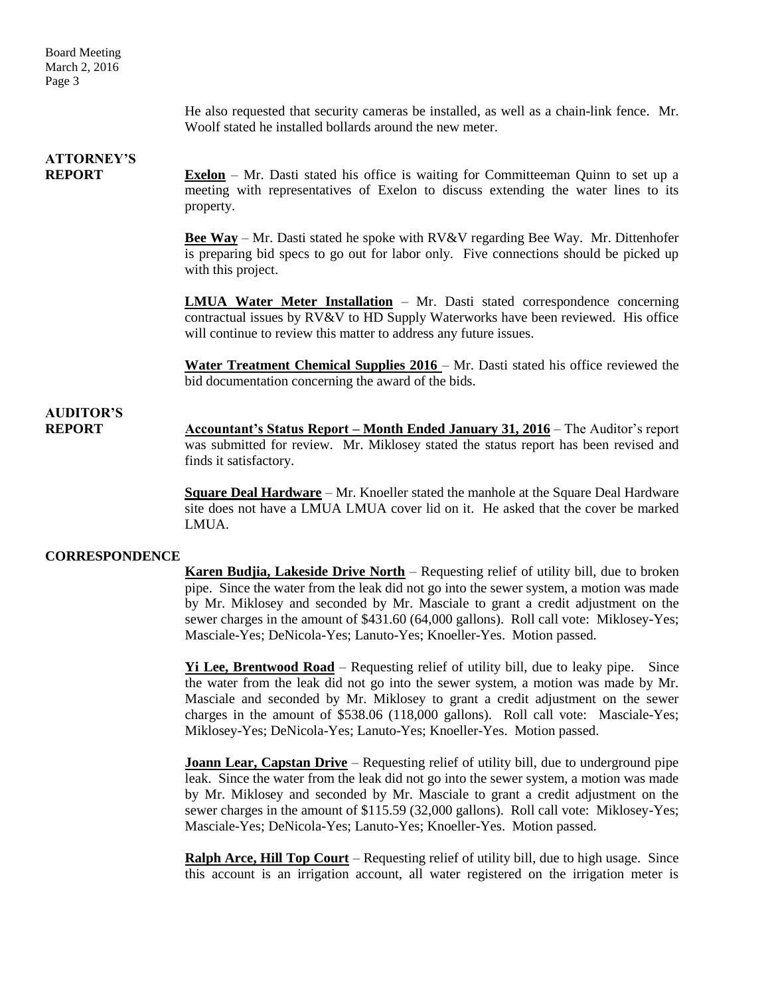Board Meeting March 2, 2016 Page 3

> He also requested that security cameras be installed, as well as a chain-link fence. Mr. Woolf stated he installed bollards around the new meter.

### **ATTORNEY'S**

**REPORT Exelon** – Mr. Dasti stated his office is waiting for Committeeman Quinn to set up a meeting with representatives of Exelon to discuss extending the water lines to its property.

> **Bee Way** – Mr. Dasti stated he spoke with RV&V regarding Bee Way. Mr. Dittenhofer is preparing bid specs to go out for labor only. Five connections should be picked up with this project.

> **LMUA Water Meter Installation** – Mr. Dasti stated correspondence concerning contractual issues by RV&V to HD Supply Waterworks have been reviewed. His office will continue to review this matter to address any future issues.

> **Water Treatment Chemical Supplies 2016** – Mr. Dasti stated his office reviewed the bid documentation concerning the award of the bids.

### **AUDITOR'S**

**REPORT Accountant's Status Report – Month Ended January 31, 2016** – The Auditor's report was submitted for review. Mr. Miklosey stated the status report has been revised and finds it satisfactory.

> **Square Deal Hardware** – Mr. Knoeller stated the manhole at the Square Deal Hardware site does not have a LMUA LMUA cover lid on it. He asked that the cover be marked LMUA.

#### **CORRESPONDENCE**

**Karen Budjia, Lakeside Drive North** – Requesting relief of utility bill, due to broken pipe. Since the water from the leak did not go into the sewer system, a motion was made by Mr. Miklosey and seconded by Mr. Masciale to grant a credit adjustment on the sewer charges in the amount of \$431.60 (64,000 gallons). Roll call vote: Miklosey-Yes; Masciale-Yes; DeNicola-Yes; Lanuto-Yes; Knoeller-Yes. Motion passed.

**Yi Lee, Brentwood Road** – Requesting relief of utility bill, due to leaky pipe. Since the water from the leak did not go into the sewer system, a motion was made by Mr. Masciale and seconded by Mr. Miklosey to grant a credit adjustment on the sewer charges in the amount of \$538.06 (118,000 gallons). Roll call vote: Masciale-Yes; Miklosey-Yes; DeNicola-Yes; Lanuto-Yes; Knoeller-Yes. Motion passed.

**Joann Lear, Capstan Drive** – Requesting relief of utility bill, due to underground pipe leak. Since the water from the leak did not go into the sewer system, a motion was made by Mr. Miklosey and seconded by Mr. Masciale to grant a credit adjustment on the sewer charges in the amount of \$115.59 (32,000 gallons). Roll call vote: Miklosey-Yes; Masciale-Yes; DeNicola-Yes; Lanuto-Yes; Knoeller-Yes. Motion passed.

**Ralph Arce, Hill Top Court** – Requesting relief of utility bill, due to high usage. Since this account is an irrigation account, all water registered on the irrigation meter is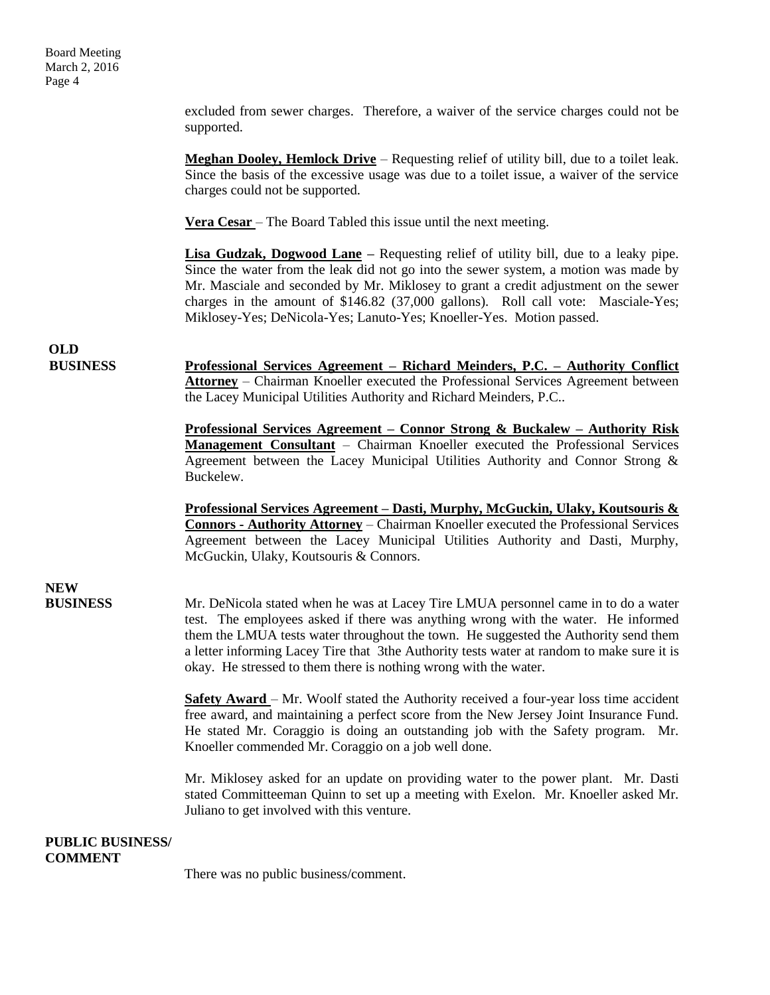excluded from sewer charges. Therefore, a waiver of the service charges could not be supported.

**Meghan Dooley, Hemlock Drive** – Requesting relief of utility bill, due to a toilet leak. Since the basis of the excessive usage was due to a toilet issue, a waiver of the service charges could not be supported.

**Vera Cesar** – The Board Tabled this issue until the next meeting.

**Lisa Gudzak, Dogwood Lane –** Requesting relief of utility bill, due to a leaky pipe. Since the water from the leak did not go into the sewer system, a motion was made by Mr. Masciale and seconded by Mr. Miklosey to grant a credit adjustment on the sewer charges in the amount of \$146.82 (37,000 gallons). Roll call vote: Masciale-Yes; Miklosey-Yes; DeNicola-Yes; Lanuto-Yes; Knoeller-Yes. Motion passed.

## **OLD**

**BUSINESS Professional Services Agreement – Richard Meinders, P.C. – Authority Conflict Attorney** – Chairman Knoeller executed the Professional Services Agreement between the Lacey Municipal Utilities Authority and Richard Meinders, P.C..

> **Professional Services Agreement – Connor Strong & Buckalew – Authority Risk Management Consultant** – Chairman Knoeller executed the Professional Services Agreement between the Lacey Municipal Utilities Authority and Connor Strong & Buckelew.

> **Professional Services Agreement – Dasti, Murphy, McGuckin, Ulaky, Koutsouris & Connors - Authority Attorney** – Chairman Knoeller executed the Professional Services Agreement between the Lacey Municipal Utilities Authority and Dasti, Murphy, McGuckin, Ulaky, Koutsouris & Connors.

# **NEW**

**BUSINESS** Mr. DeNicola stated when he was at Lacey Tire LMUA personnel came in to do a water test. The employees asked if there was anything wrong with the water. He informed them the LMUA tests water throughout the town. He suggested the Authority send them a letter informing Lacey Tire that 3the Authority tests water at random to make sure it is okay. He stressed to them there is nothing wrong with the water.

> **Safety Award** – Mr. Woolf stated the Authority received a four-year loss time accident free award, and maintaining a perfect score from the New Jersey Joint Insurance Fund. He stated Mr. Coraggio is doing an outstanding job with the Safety program. Mr. Knoeller commended Mr. Coraggio on a job well done.

> Mr. Miklosey asked for an update on providing water to the power plant. Mr. Dasti stated Committeeman Quinn to set up a meeting with Exelon. Mr. Knoeller asked Mr. Juliano to get involved with this venture.

#### **PUBLIC BUSINESS/ COMMENT**

There was no public business/comment.